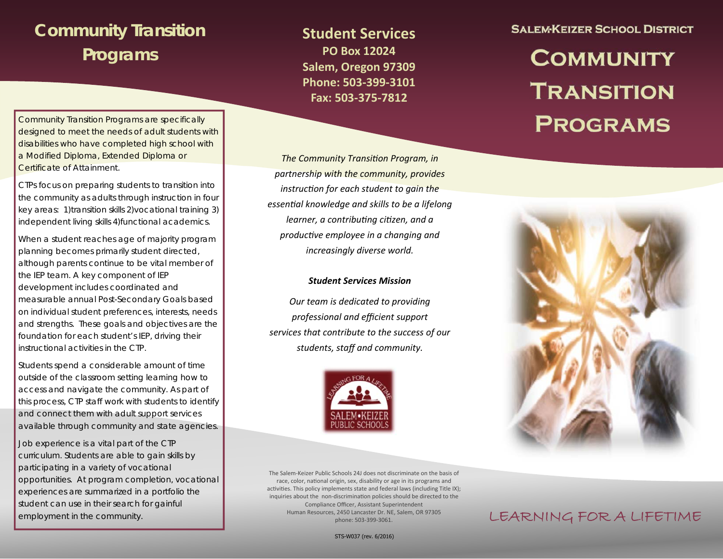### **Community Transition Programs**

Community Transition Programs are specifically designed to meet the needs of adult students with disabilities who have completed high school with a Modified Diploma, Extended Diploma or Certificate of Attainment.

CTPs focus on preparing students to transition into the community as adults through instruction in four key areas: 1)transition skills 2)vocational training 3) independent living skills 4)functional academics.

When a student reaches age of majority program planning becomes primarily student directed, although parents continue to be vital member of the IEP team. A key component of IEP development includes coordinated and measurable annual Post-Secondary Goals based on individual student preferences, interests, needs and strengths. These goals and objectives are the foundation for each student's IEP, driving their instructional activities in the CTP.

Students spend a considerable amount of time outside of the classroom setting learning how to access and navigate the community. As part of this process, CTP staff work with students to identify and connect them with adult support services available through community and state agencies.

Job experience is a vital part of the CTP curriculum. Students are able to gain skills by participating in a variety of vocational opportunities. At program completion, vocational experiences are summarized in a portfolio the student can use in their search for gainful employment in the community.

**Student Services PO Box 12024 Salem, Oregon 97309 Phone: 503‐399‐3101 Fax: 503‐375‐7812** 

*The Community TransiƟon Program, in partnership with the community, provides instrucƟon for each student to gain the essenƟal knowledge and skills to be a lifelong learner, a contribuƟng ciƟzen, and a producƟve employee in a changing and increasingly diverse world.* 

#### *Student Services Mission*

*Our team is dedicated to providing professional and efficient support services that contribute to the success of our students, staff and community.* 



The Salem‐Keizer Public Schools 24J does not discriminate on the basis of race, color, national origin, sex, disability or age in its programs and activities. This policy implements state and federal laws (including Title IX); inquiries about the non-discrimination policies should be directed to the Compliance Officer, Assistant Superintendent Human Resources, 2450 Lancaster Dr. NE, Salem, OR 97305 phone: 503‐399‐3061.

**SALEM-KEIZER SCHOOL DISTRICT** 

# **COMMUNITY TRANSITION PROGRAMS**



### LEARNING FOR A LIFETIME

STS-W037 (rev. 6/2016)